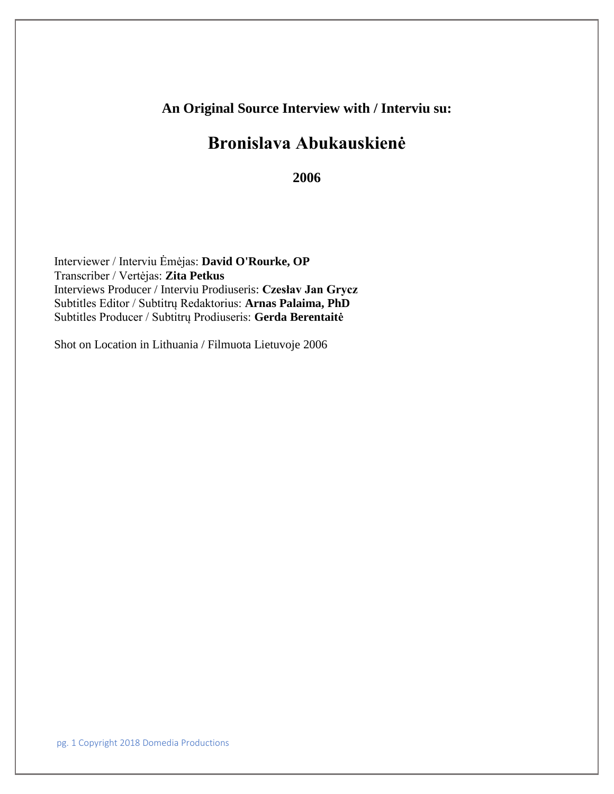# **An Original Source Interview with / Interviu su:**

# **Bronislava Abukauskienė**

**2006**

Interviewer / Interviu Ėmėjas: **David O'Rourke, OP** Transcriber / Vertėjas: **Zita Petkus** Interviews Producer / Interviu Prodiuseris: **Czesłav Jan Grycz** Subtitles Editor / Subtitrų Redaktorius: **Arnas Palaima, PhD** Subtitles Producer / Subtitrų Prodiuseris: **Gerda Berentaitė**

Shot on Location in Lithuania / Filmuota Lietuvoje 2006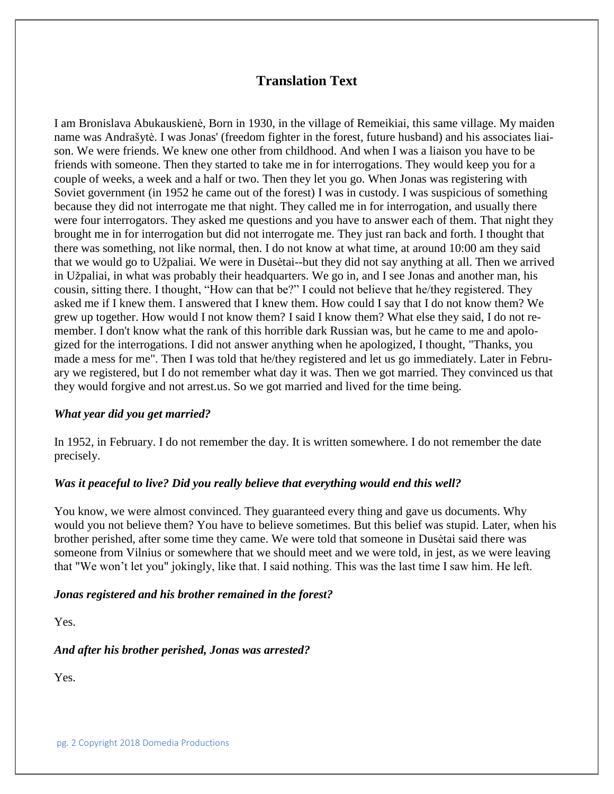## **Translation Text**

I am Bronislava Abukauskienė, Born in 1930, in the village of Remeikiai, this same village. My maiden name was Andrašytė. I was Jonas' (freedom fighter in the forest, future husband) and his associates liaison. We were friends. We knew one other from childhood. And when I was a liaison you have to be friends with someone. Then they started to take me in for interrogations. They would keep you for a couple of weeks, a week and a half or two. Then they let you go. When Jonas was registering with Soviet government (in 1952 he came out of the forest) I was in custody. I was suspicious of something because they did not interrogate me that night. They called me in for interrogation, and usually there were four interrogators. They asked me questions and you have to answer each of them. That night they brought me in for interrogation but did not interrogate me. They just ran back and forth. I thought that there was something, not like normal, then. I do not know at what time, at around 10:00 am they said that we would go to Užpaliai. We were in Dusėtai--but they did not say anything at all. Then we arrived in Užpaliai, in what was probably their headquarters. We go in, and I see Jonas and another man, his cousin, sitting there. I thought, "How can that be?" I could not believe that he/they registered. They asked me if I knew them. I answered that I knew them. How could I say that I do not know them? We grew up together. How would I not know them? I said I know them? What else they said, I do not remember. I don't know what the rank of this horrible dark Russian was, but he came to me and apologized for the interrogations. I did not answer anything when he apologized, I thought, "Thanks, you made a mess for me". Then I was told that he/they registered and let us go immediately. Later in February we registered, but I do not remember what day it was. Then we got married. They convinced us that they would forgive and not arrest.us. So we got married and lived for the time being.

#### *What year did you get married?*

In 1952, in February. I do not remember the day. It is written somewhere. I do not remember the date precisely.

#### *Was it peaceful to live? Did you really believe that everything would end this well?*

You know, we were almost convinced. They guaranteed every thing and gave us documents. Why would you not believe them? You have to believe sometimes. But this belief was stupid. Later, when his brother perished, after some time they came. We were told that someone in Dusėtai said there was someone from Vilnius or somewhere that we should meet and we were told, in jest, as we were leaving that "We won't let you" jokingly, like that. I said nothing. This was the last time I saw him. He left.

#### *Jonas registered and his brother remained in the forest?*

Yes.

*And after his brother perished, Jonas was arrested?*

Yes.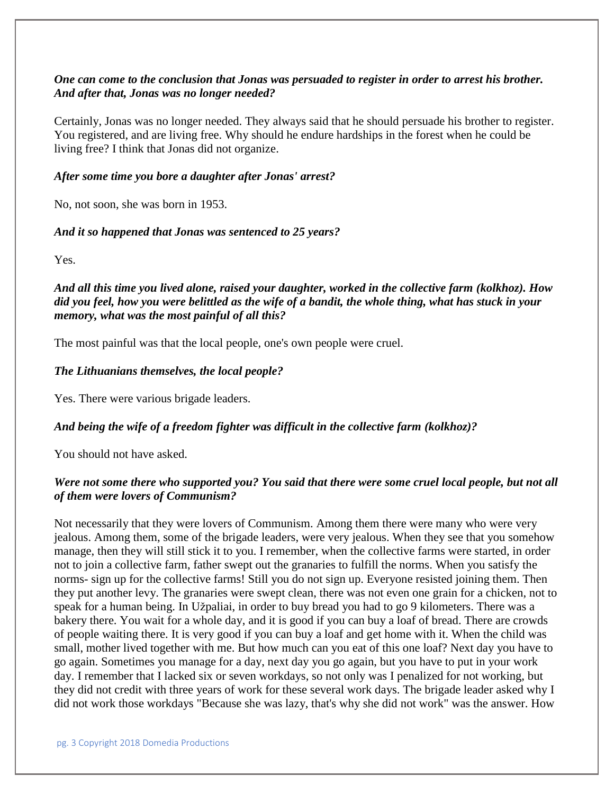## *One can come to the conclusion that Jonas was persuaded to register in order to arrest his brother. And after that, Jonas was no longer needed?*

Certainly, Jonas was no longer needed. They always said that he should persuade his brother to register. You registered, and are living free. Why should he endure hardships in the forest when he could be living free? I think that Jonas did not organize.

## *After some time you bore a daughter after Jonas' arrest?*

No, not soon, she was born in 1953.

## *And it so happened that Jonas was sentenced to 25 years?*

Yes.

*And all this time you lived alone, raised your daughter, worked in the collective farm (kolkhoz). How did you feel, how you were belittled as the wife of a bandit, the whole thing, what has stuck in your memory, what was the most painful of all this?* 

The most painful was that the local people, one's own people were cruel.

## *The Lithuanians themselves, the local people?*

Yes. There were various brigade leaders.

## *And being the wife of a freedom fighter was difficult in the collective farm (kolkhoz)?*

You should not have asked.

## *Were not some there who supported you? You said that there were some cruel local people, but not all of them were lovers of Communism?*

Not necessarily that they were lovers of Communism. Among them there were many who were very jealous. Among them, some of the brigade leaders, were very jealous. When they see that you somehow manage, then they will still stick it to you. I remember, when the collective farms were started, in order not to join a collective farm, father swept out the granaries to fulfill the norms. When you satisfy the norms- sign up for the collective farms! Still you do not sign up. Everyone resisted joining them. Then they put another levy. The granaries were swept clean, there was not even one grain for a chicken, not to speak for a human being. In Užpaliai, in order to buy bread you had to go 9 kilometers. There was a bakery there. You wait for a whole day, and it is good if you can buy a loaf of bread. There are crowds of people waiting there. It is very good if you can buy a loaf and get home with it. When the child was small, mother lived together with me. But how much can you eat of this one loaf? Next day you have to go again. Sometimes you manage for a day, next day you go again, but you have to put in your work day. I remember that I lacked six or seven workdays, so not only was I penalized for not working, but they did not credit with three years of work for these several work days. The brigade leader asked why I did not work those workdays "Because she was lazy, that's why she did not work" was the answer. How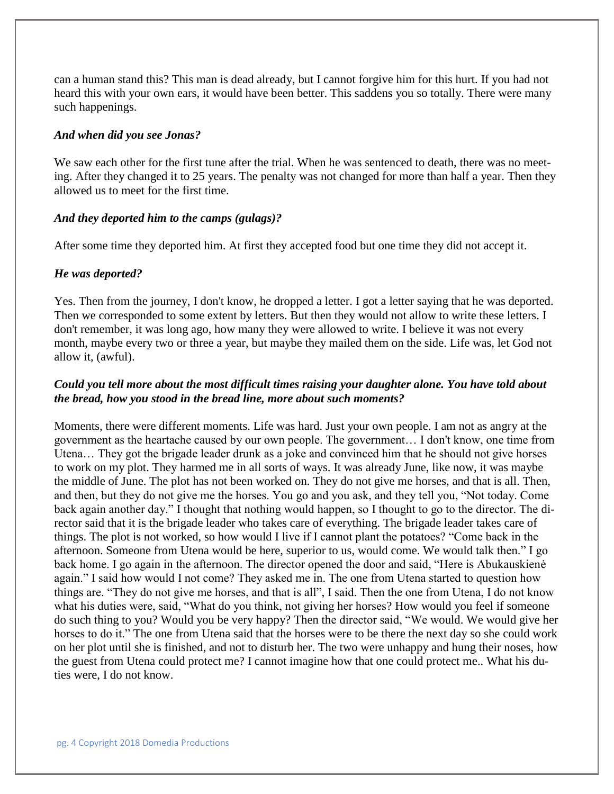can a human stand this? This man is dead already, but I cannot forgive him for this hurt. If you had not heard this with your own ears, it would have been better. This saddens you so totally. There were many such happenings.

#### *And when did you see Jonas?*

We saw each other for the first tune after the trial. When he was sentenced to death, there was no meeting. After they changed it to 25 years. The penalty was not changed for more than half a year. Then they allowed us to meet for the first time.

#### *And they deported him to the camps (gulags)?*

After some time they deported him. At first they accepted food but one time they did not accept it.

#### *He was deported?*

Yes. Then from the journey, I don't know, he dropped a letter. I got a letter saying that he was deported. Then we corresponded to some extent by letters. But then they would not allow to write these letters. I don't remember, it was long ago, how many they were allowed to write. I believe it was not every month, maybe every two or three a year, but maybe they mailed them on the side. Life was, let God not allow it, (awful).

## *Could you tell more about the most difficult times raising your daughter alone. You have told about the bread, how you stood in the bread line, more about such moments?*

Moments, there were different moments. Life was hard. Just your own people. I am not as angry at the government as the heartache caused by our own people. The government… I don't know, one time from Utena… They got the brigade leader drunk as a joke and convinced him that he should not give horses to work on my plot. They harmed me in all sorts of ways. It was already June, like now, it was maybe the middle of June. The plot has not been worked on. They do not give me horses, and that is all. Then, and then, but they do not give me the horses. You go and you ask, and they tell you, "Not today. Come back again another day." I thought that nothing would happen, so I thought to go to the director. The director said that it is the brigade leader who takes care of everything. The brigade leader takes care of things. The plot is not worked, so how would I live if I cannot plant the potatoes? "Come back in the afternoon. Someone from Utena would be here, superior to us, would come. We would talk then." I go back home. I go again in the afternoon. The director opened the door and said, "Here is Abukauskienė again." I said how would I not come? They asked me in. The one from Utena started to question how things are. "They do not give me horses, and that is all", I said. Then the one from Utena, I do not know what his duties were, said, "What do you think, not giving her horses? How would you feel if someone do such thing to you? Would you be very happy? Then the director said, "We would. We would give her horses to do it." The one from Utena said that the horses were to be there the next day so she could work on her plot until she is finished, and not to disturb her. The two were unhappy and hung their noses, how the guest from Utena could protect me? I cannot imagine how that one could protect me.. What his duties were, I do not know.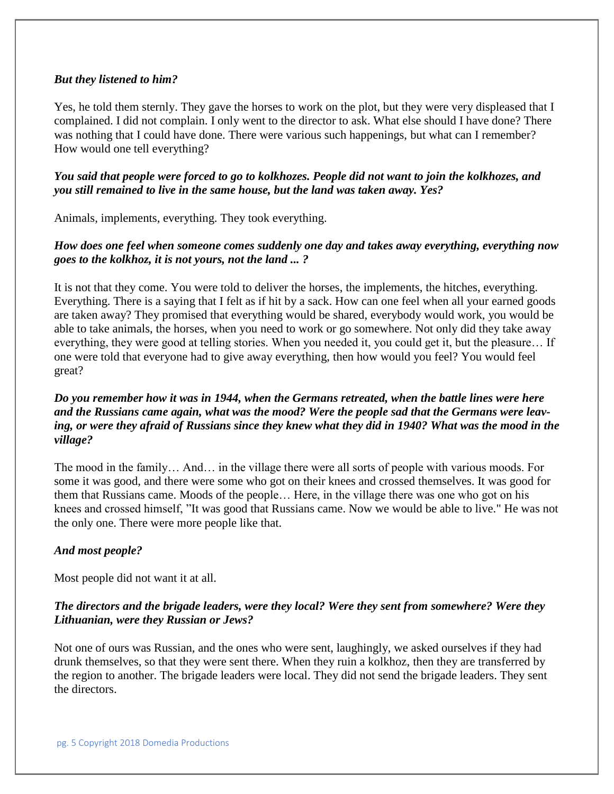#### *But they listened to him?*

Yes, he told them sternly. They gave the horses to work on the plot, but they were very displeased that I complained. I did not complain. I only went to the director to ask. What else should I have done? There was nothing that I could have done. There were various such happenings, but what can I remember? How would one tell everything?

*You said that people were forced to go to kolkhozes. People did not want to join the kolkhozes, and you still remained to live in the same house, but the land was taken away. Yes?* 

Animals, implements, everything. They took everything.

## *How does one feel when someone comes suddenly one day and takes away everything, everything now goes to the kolkhoz, it is not yours, not the land ... ?*

It is not that they come. You were told to deliver the horses, the implements, the hitches, everything. Everything. There is a saying that I felt as if hit by a sack. How can one feel when all your earned goods are taken away? They promised that everything would be shared, everybody would work, you would be able to take animals, the horses, when you need to work or go somewhere. Not only did they take away everything, they were good at telling stories. When you needed it, you could get it, but the pleasure… If one were told that everyone had to give away everything, then how would you feel? You would feel great?

## *Do you remember how it was in 1944, when the Germans retreated, when the battle lines were here and the Russians came again, what was the mood? Were the people sad that the Germans were leaving, or were they afraid of Russians since they knew what they did in 1940? What was the mood in the village?*

The mood in the family… And… in the village there were all sorts of people with various moods. For some it was good, and there were some who got on their knees and crossed themselves. It was good for them that Russians came. Moods of the people… Here, in the village there was one who got on his knees and crossed himself, "It was good that Russians came. Now we would be able to live." He was not the only one. There were more people like that.

#### *And most people?*

Most people did not want it at all.

## *The directors and the brigade leaders, were they local? Were they sent from somewhere? Were they Lithuanian, were they Russian or Jews?*

Not one of ours was Russian, and the ones who were sent, laughingly, we asked ourselves if they had drunk themselves, so that they were sent there. When they ruin a kolkhoz, then they are transferred by the region to another. The brigade leaders were local. They did not send the brigade leaders. They sent the directors.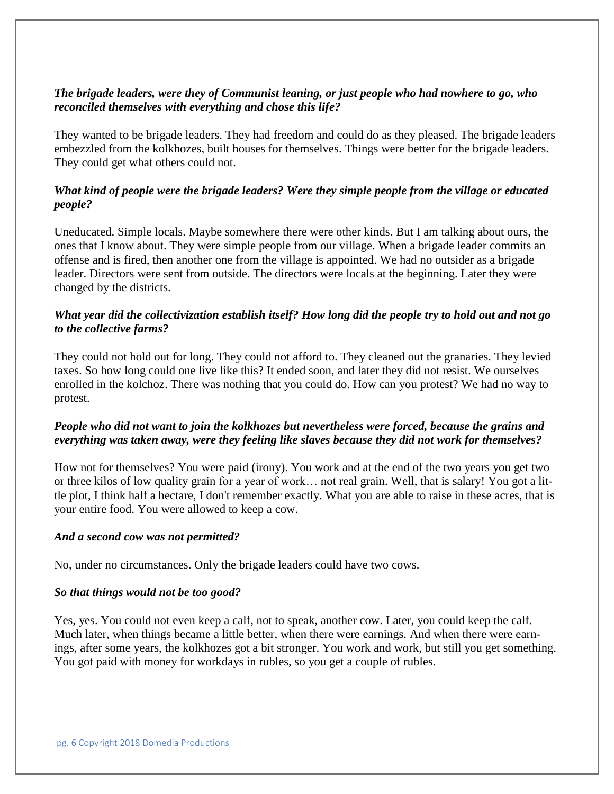## *The brigade leaders, were they of Communist leaning, or just people who had nowhere to go, who reconciled themselves with everything and chose this life?*

They wanted to be brigade leaders. They had freedom and could do as they pleased. The brigade leaders embezzled from the kolkhozes, built houses for themselves. Things were better for the brigade leaders. They could get what others could not.

## *What kind of people were the brigade leaders? Were they simple people from the village or educated people?*

Uneducated. Simple locals. Maybe somewhere there were other kinds. But I am talking about ours, the ones that I know about. They were simple people from our village. When a brigade leader commits an offense and is fired, then another one from the village is appointed. We had no outsider as a brigade leader. Directors were sent from outside. The directors were locals at the beginning. Later they were changed by the districts.

## *What year did the collectivization establish itself? How long did the people try to hold out and not go to the collective farms?*

They could not hold out for long. They could not afford to. They cleaned out the granaries. They levied taxes. So how long could one live like this? It ended soon, and later they did not resist. We ourselves enrolled in the kolchoz. There was nothing that you could do. How can you protest? We had no way to protest.

## *People who did not want to join the kolkhozes but nevertheless were forced, because the grains and everything was taken away, were they feeling like slaves because they did not work for themselves?*

How not for themselves? You were paid (irony). You work and at the end of the two years you get two or three kilos of low quality grain for a year of work… not real grain. Well, that is salary! You got a little plot, I think half a hectare, I don't remember exactly. What you are able to raise in these acres, that is your entire food. You were allowed to keep a cow.

#### *And a second cow was not permitted?*

No, under no circumstances. Only the brigade leaders could have two cows.

## *So that things would not be too good?*

Yes, yes. You could not even keep a calf, not to speak, another cow. Later, you could keep the calf. Much later, when things became a little better, when there were earnings. And when there were earnings, after some years, the kolkhozes got a bit stronger. You work and work, but still you get something. You got paid with money for workdays in rubles, so you get a couple of rubles.